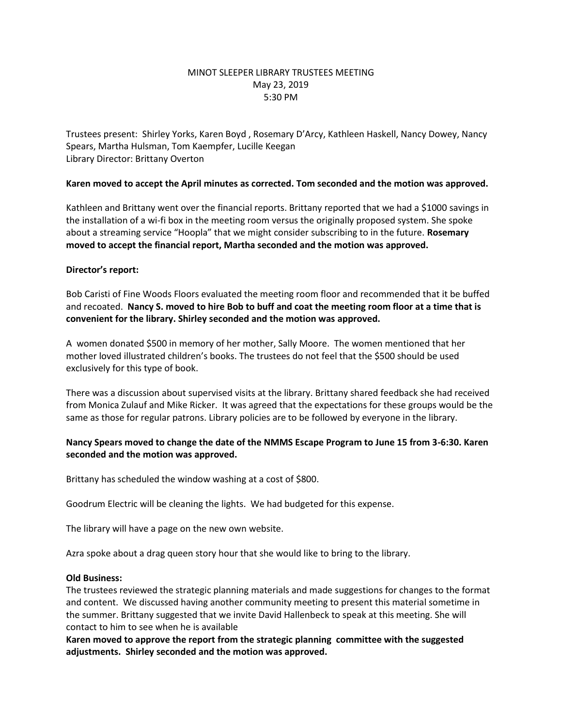## MINOT SLEEPER LIBRARY TRUSTEES MEETING May 23, 2019 5:30 PM

Trustees present: Shirley Yorks, Karen Boyd , Rosemary D'Arcy, Kathleen Haskell, Nancy Dowey, Nancy Spears, Martha Hulsman, Tom Kaempfer, Lucille Keegan Library Director: Brittany Overton

### **Karen moved to accept the April minutes as corrected. Tom seconded and the motion was approved.**

Kathleen and Brittany went over the financial reports. Brittany reported that we had a \$1000 savings in the installation of a wi-fi box in the meeting room versus the originally proposed system. She spoke about a streaming service "Hoopla" that we might consider subscribing to in the future. **Rosemary moved to accept the financial report, Martha seconded and the motion was approved.**

### **Director's report:**

Bob Caristi of Fine Woods Floors evaluated the meeting room floor and recommended that it be buffed and recoated. **Nancy S. moved to hire Bob to buff and coat the meeting room floor at a time that is convenient for the library. Shirley seconded and the motion was approved.**

A women donated \$500 in memory of her mother, Sally Moore. The women mentioned that her mother loved illustrated children's books. The trustees do not feel that the \$500 should be used exclusively for this type of book.

There was a discussion about supervised visits at the library. Brittany shared feedback she had received from Monica Zulauf and Mike Ricker. It was agreed that the expectations for these groups would be the same as those for regular patrons. Library policies are to be followed by everyone in the library.

# **Nancy Spears moved to change the date of the NMMS Escape Program to June 15 from 3-6:30. Karen seconded and the motion was approved.**

Brittany has scheduled the window washing at a cost of \$800.

Goodrum Electric will be cleaning the lights. We had budgeted for this expense.

The library will have a page on the new own website.

Azra spoke about a drag queen story hour that she would like to bring to the library.

#### **Old Business:**

The trustees reviewed the strategic planning materials and made suggestions for changes to the format and content. We discussed having another community meeting to present this material sometime in the summer. Brittany suggested that we invite David Hallenbeck to speak at this meeting. She will contact to him to see when he is available

**Karen moved to approve the report from the strategic planning committee with the suggested adjustments. Shirley seconded and the motion was approved.**